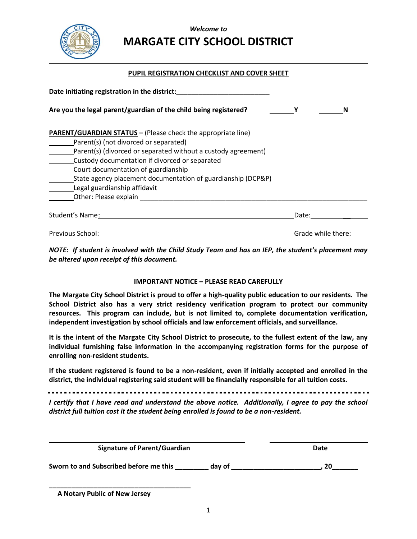

## *Welcome to* **MARGATE CITY SCHOOL DISTRICT**

### **PUPIL REGISTRATION CHECKLIST AND COVER SHEET**

| Date initiating registration in the district:                                                                                                                                                                                                                                                                                                                                                   |                    |  |
|-------------------------------------------------------------------------------------------------------------------------------------------------------------------------------------------------------------------------------------------------------------------------------------------------------------------------------------------------------------------------------------------------|--------------------|--|
| Are you the legal parent/guardian of the child being registered?                                                                                                                                                                                                                                                                                                                                | N                  |  |
| <b>PARENT/GUARDIAN STATUS - (Please check the appropriate line)</b><br>Parent(s) (not divorced or separated)<br>Parent(s) (divorced or separated without a custody agreement)<br>Custody documentation if divorced or separated<br>Court documentation of guardianship<br>State agency placement documentation of guardianship (DCP&P)<br>Legal guardianship affidavit<br>Other: Please explain |                    |  |
| Student's Name:                                                                                                                                                                                                                                                                                                                                                                                 | Date:              |  |
| Previous School:                                                                                                                                                                                                                                                                                                                                                                                | Grade while there: |  |

*NOTE: If student is involved with the Child Study Team and has an IEP, the student's placement may be altered upon receipt of this document.* 

#### **IMPORTANT NOTICE – PLEASE READ CAREFULLY**

**The Margate City School District is proud to offer a high-quality public education to our residents. The School District also has a very strict residency verification program to protect our community resources. This program can include, but is not limited to, complete documentation verification, independent investigation by school officials and law enforcement officials, and surveillance.**

**It is the intent of the Margate City School District to prosecute, to the fullest extent of the law, any individual furnishing false information in the accompanying registration forms for the purpose of enrolling non-resident students.**

**If the student registered is found to be a non-resident, even if initially accepted and enrolled in the district, the individual registering said student will be financially responsible for all tuition costs.** 

*I certify that I have read and understand the above notice. Additionally, I agree to pay the school district full tuition cost it the student being enrolled is found to be a non-resident.*

| <b>Signature of Parent/Guardian</b>    |        | Date |
|----------------------------------------|--------|------|
| Sworn to and Subscribed before me this | day of | 20   |

 **A Notary Public of New Jersey**

**\_\_\_\_\_\_\_\_\_\_\_\_\_\_\_\_\_\_\_\_\_\_\_\_\_\_\_\_\_\_\_\_\_\_\_\_\_\_**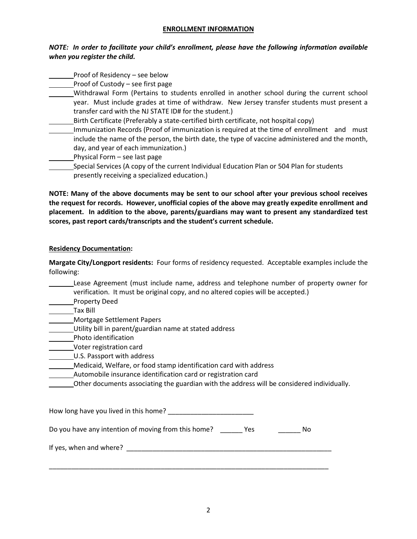#### **ENROLLMENT INFORMATION**

## *NOTE: In order to facilitate your child's enrollment, please have the following information available*  when you register the child.

| when you register the child.      |  |
|-----------------------------------|--|
| Proof of Residency – see below    |  |
| Proof of Custody – see first page |  |

- Withdrawal Form (Pertains to students enrolled in another school during the current school year. Must include grades at time of withdraw. New Jersey transfer students must present a transfer card with the NJ STATE ID# for the student.)
	- Birth Certificate (Preferably a state-certified birth certificate, not hospital copy)
- Immunization Records (Proof of immunization is required at the time of enrollment and must include the name of the person, the birth date, the type of vaccine administered and the month, day, and year of each immunization.)
- Physical Form see last page
- Special Services (A copy of the current Individual Education Plan or 504 Plan for students presently receiving a specialized education.)

**NOTE: Many of the above documents may be sent to our school after your previous school receives the request for records. However, unofficial copies of the above may greatly expedite enrollment and placement. In addition to the above, parents/guardians may want to present any standardized test scores, past report cards/transcripts and the student's current schedule.**

## **Residency Documentation:**

**Margate City/Longport residents:** Four forms of residency requested. Acceptable examples include the following:

Lease Agreement (must include name, address and telephone number of property owner for verification. It must be original copy, and no altered copies will be accepted.)

- Property Deed
- Tax Bill
- Mortgage Settlement Papers
- Utility bill in parent/guardian name at stated address
- **Photo identification**
- Voter registration card

U.S. Passport with address

- Medicaid, Welfare, or food stamp identification card with address
- Automobile insurance identification card or registration card
- Other documents associating the guardian with the address will be considered individually.

| How long have you lived in this home?               |     |     |
|-----------------------------------------------------|-----|-----|
| Do you have any intention of moving from this home? | Yes | No. |
| If yes, when and where?                             |     |     |
|                                                     |     |     |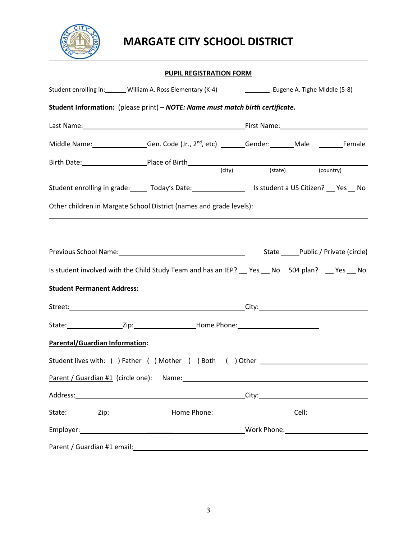

# **MARGATE CITY SCHOOL DISTRICT**

## **PUPIL REGISTRATION FORM**

| Student enrolling in: _______ William A. Ross Elementary (K-4) [10] Eugene A. Tighe Middle (5-8)              |  |                          |                                        |  |
|---------------------------------------------------------------------------------------------------------------|--|--------------------------|----------------------------------------|--|
| Student Information: (please print) - NOTE: Name must match birth certificate.                                |  |                          |                                        |  |
|                                                                                                               |  |                          |                                        |  |
| Middle Name: ________________Gen. Code (Jr., 2 <sup>nd</sup> , etc) _______Gender: _______Male ________Female |  |                          |                                        |  |
|                                                                                                               |  | (city) (state) (country) |                                        |  |
| Student enrolling in grade: ______ Today's Date: __________________ Is student a US Citizen? ___ Yes __ No    |  |                          |                                        |  |
| Other children in Margate School District (names and grade levels):                                           |  |                          |                                        |  |
|                                                                                                               |  |                          |                                        |  |
|                                                                                                               |  |                          | State _______Public / Private (circle) |  |
| Is student involved with the Child Study Team and has an IEP? Cres CNO 504 plan? Cres CNO                     |  |                          |                                        |  |
| <b>Student Permanent Address:</b>                                                                             |  |                          |                                        |  |
|                                                                                                               |  |                          |                                        |  |
| State: ___________________Zip: _______________________Home Phone: _________________________________           |  |                          |                                        |  |
| <b>Parental/Guardian Information:</b>                                                                         |  |                          |                                        |  |
| Student lives with: ( ) Father ( ) Mother ( ) Both ( ) Other ____________________                             |  |                          |                                        |  |
|                                                                                                               |  |                          |                                        |  |
|                                                                                                               |  |                          |                                        |  |
| State: __________Zip:____________________Home Phone: ___________________________Cell: _______________________ |  |                          |                                        |  |
|                                                                                                               |  |                          |                                        |  |
|                                                                                                               |  |                          |                                        |  |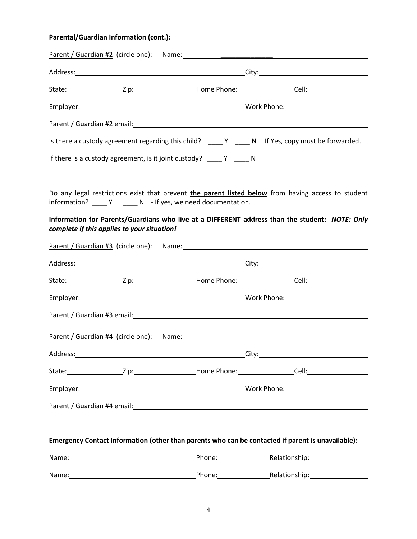## **Parental/Guardian Information (cont.):**

|          |                                             |                                                                   | State: __________________Zip: _____________________Home Phone: _________________Cell: ___________________                                                                                                                     |
|----------|---------------------------------------------|-------------------------------------------------------------------|-------------------------------------------------------------------------------------------------------------------------------------------------------------------------------------------------------------------------------|
|          |                                             |                                                                   |                                                                                                                                                                                                                               |
|          |                                             |                                                                   |                                                                                                                                                                                                                               |
|          |                                             |                                                                   | Is there a custody agreement regarding this child? $\_\_\_\_Y$ $\_\_\_N$ N If Yes, copy must be forwarded.                                                                                                                    |
|          |                                             | If there is a custody agreement, is it joint custody? $\_\_\_\_Y$ |                                                                                                                                                                                                                               |
|          | complete if this applies to your situation! | information? _____ Y _____ N - If yes, we need documentation.     | Do any legal restrictions exist that prevent the parent listed below from having access to student<br>Information for Parents/Guardians who live at a DIFFERENT address than the student: NOTE: Only                          |
|          |                                             |                                                                   | Parent / Guardian #3 (circle one): Name: Name:                                                                                                                                                                                |
|          |                                             |                                                                   |                                                                                                                                                                                                                               |
|          |                                             |                                                                   |                                                                                                                                                                                                                               |
|          |                                             |                                                                   |                                                                                                                                                                                                                               |
|          |                                             |                                                                   |                                                                                                                                                                                                                               |
|          |                                             | Parent / Guardian #4 (circle one): Name: Name:                    |                                                                                                                                                                                                                               |
| Address: |                                             | ____________________________City:_____                            |                                                                                                                                                                                                                               |
|          |                                             |                                                                   |                                                                                                                                                                                                                               |
|          |                                             |                                                                   |                                                                                                                                                                                                                               |
|          |                                             |                                                                   |                                                                                                                                                                                                                               |
|          |                                             |                                                                   | Emergency Contact Information (other than parents who can be contacted if parent is unavailable):                                                                                                                             |
|          |                                             |                                                                   | Name: Name: Name: Name: Name: Name: Name: Nelationship: Name: Nelationship: Name: Nelationship: Name of New York 2016                                                                                                         |
|          |                                             |                                                                   | Name: Name: Name: Name: Name: Name: Name: Name: Name: Name: Name: Name: Name: Name: Name: Name: Name: Name: Name: Name: Name: Name: Name: Name: Name: Name: Name: Name: Name: Name: Name: Name: Name: Name: Name: Name: Name: |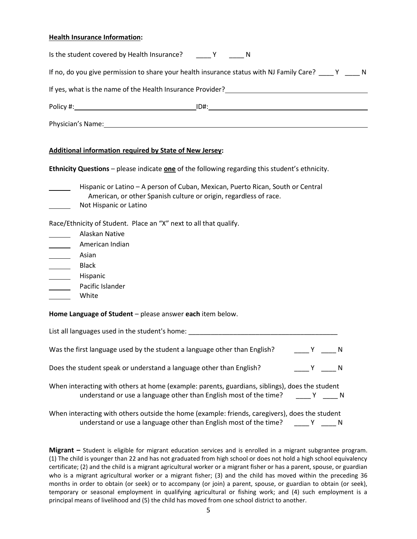#### **Health Insurance Information:**

| Is the student covered by Health Insurance? Y Y M                                                                                                                                                                              |                                                                                                         |
|--------------------------------------------------------------------------------------------------------------------------------------------------------------------------------------------------------------------------------|---------------------------------------------------------------------------------------------------------|
|                                                                                                                                                                                                                                | If no, do you give permission to share your health insurance status with NJ Family Care? ____ Y _____ N |
| If yes, what is the name of the Health Insurance Provider?                                                                                                                                                                     |                                                                                                         |
|                                                                                                                                                                                                                                | ID#:                                                                                                    |
| Physician's Name: The contract of the contract of the contract of the contract of the contract of the contract of the contract of the contract of the contract of the contract of the contract of the contract of the contract |                                                                                                         |

#### **Additional information required by State of New Jersey:**

**Ethnicity Questions** – please indicate **one** of the following regarding this student's ethnicity.

| Hispanic or Latino - A person of Cuban, Mexican, Puerto Rican, South or Central |
|---------------------------------------------------------------------------------|
| American, or other Spanish culture or origin, regardless of race.               |
| Not Hispanic or Latino                                                          |

Race/Ethnicity of Student. Place an "X" next to all that qualify.

| Alaskan Native   |
|------------------|
| American Indian  |
| Asian            |
| Black            |
| Hispanic         |
| Pacific Islander |
| White            |

**Home Language of Student** – please answer **each** item below.

| Was the first language used by the student a language other than English?<br><b>Solution</b> Security N                                                                             |
|-------------------------------------------------------------------------------------------------------------------------------------------------------------------------------------|
|                                                                                                                                                                                     |
| Does the student speak or understand a language other than English?<br>$\begin{array}{ccc} & \mathsf{Y} & \mathsf{N} \end{array}$                                                   |
| When interacting with others at home (example: parents, guardians, siblings), does the student<br>understand or use a language other than English most of the time? _____ Y _____ N |

When interacting with others outside the home (example: friends, caregivers), does the student understand or use a language other than English most of the time? \_\_\_\_ Y \_\_\_\_ N

**Migrant –** Student is eligible for migrant education services and is enrolled in a migrant subgrantee program. (1) The child is younger than 22 and has not graduated from high school or does not hold a high school equivalency certificate; (2) and the child is a migrant agricultural worker or a migrant fisher or has a parent, spouse, or guardian who is a migrant agricultural worker or a migrant fisher; (3) and the child has moved within the preceding 36 months in order to obtain (or seek) or to accompany (or join) a parent, spouse, or guardian to obtain (or seek), temporary or seasonal employment in qualifying agricultural or fishing work; and (4) such employment is a principal means of livelihood and (5) the child has moved from one school district to another.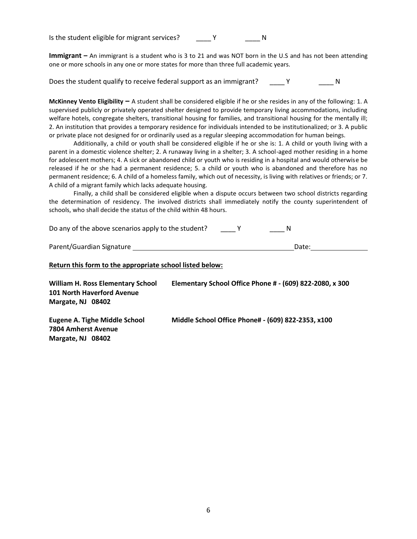Is the student eligible for migrant services? The Manuson Manuson Number of Number 2012

**Immigrant –** An immigrant is a student who is 3 to 21 and was NOT born in the U.S and has not been attending one or more schools in any one or more states for more than three full academic years.

Does the student qualify to receive federal support as an immigrant? \_\_\_\_\_ Y \_\_\_\_\_\_\_\_\_ N

**McKinney Vento Eligibility –** A student shall be considered eligible if he or she resides in any of the following: 1. A supervised publicly or privately operated shelter designed to provide temporary living accommodations, including welfare hotels, congregate shelters, transitional housing for families, and transitional housing for the mentally ill; 2. An institution that provides a temporary residence for individuals intended to be institutionalized; or 3. A public or private place not designed for or ordinarily used as a regular sleeping accommodation for human beings.

Additionally, a child or youth shall be considered eligible if he or she is: 1. A child or youth living with a parent in a domestic violence shelter; 2. A runaway living in a shelter; 3. A school-aged mother residing in a home for adolescent mothers; 4. A sick or abandoned child or youth who is residing in a hospital and would otherwise be released if he or she had a permanent residence; 5. a child or youth who is abandoned and therefore has no permanent residence; 6. A child of a homeless family, which out of necessity, is living with relatives or friends; or 7. A child of a migrant family which lacks adequate housing.

Finally, a child shall be considered eligible when a dispute occurs between two school districts regarding the determination of residency. The involved districts shall immediately notify the county superintendent of schools, who shall decide the status of the child within 48 hours.

Do any of the above scenarios apply to the student? The V T A N

| Parent/Guardian Signature | Date: |  |
|---------------------------|-------|--|
|                           |       |  |

#### **Return this form to the appropriate school listed below:**

| William H. Ross Elementary School<br><b>101 North Haverford Avenue</b><br>Margate, NJ 08402 | Elementary School Office Phone # - (609) 822-2080, x 300 |
|---------------------------------------------------------------------------------------------|----------------------------------------------------------|
| Eugene A. Tighe Middle School<br>7804 Amherst Avenue<br>Margate, NJ 08402                   | Middle School Office Phone# - (609) 822-2353, x100       |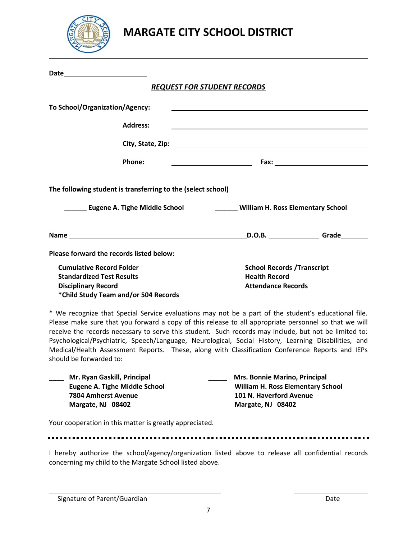

| Date <u>______________</u>                                                                                                                                                                                                                                                                                             |                                          |                                                                 |  |
|------------------------------------------------------------------------------------------------------------------------------------------------------------------------------------------------------------------------------------------------------------------------------------------------------------------------|------------------------------------------|-----------------------------------------------------------------|--|
|                                                                                                                                                                                                                                                                                                                        | <b>REQUEST FOR STUDENT RECORDS</b>       |                                                                 |  |
| To School/Organization/Agency:                                                                                                                                                                                                                                                                                         |                                          |                                                                 |  |
| <b>Address:</b>                                                                                                                                                                                                                                                                                                        |                                          |                                                                 |  |
|                                                                                                                                                                                                                                                                                                                        |                                          |                                                                 |  |
| Phone:                                                                                                                                                                                                                                                                                                                 |                                          |                                                                 |  |
| The following student is transferring to the (select school)                                                                                                                                                                                                                                                           |                                          |                                                                 |  |
| Eugene A. Tighe Middle School                                                                                                                                                                                                                                                                                          | <b>William H. Ross Elementary School</b> |                                                                 |  |
| Name and the state of the state of the state of the state of the state of the state of the state of the state of the state of the state of the state of the state of the state of the state of the state of the state of the s                                                                                         |                                          | D.O.B. Grade                                                    |  |
| Please forward the records listed below:                                                                                                                                                                                                                                                                               |                                          |                                                                 |  |
| <b>Cumulative Record Folder</b><br><b>Standardized Test Results</b><br><b>Disciplinary Record</b><br>*Child Study Team and/or 504 Records                                                                                                                                                                              | <b>Health Record</b>                     | <b>School Records / Transcript</b><br><b>Attendance Records</b> |  |
| * We recognize that Special Service evaluations may not be a part of the student's educational file.<br>Please make sure that you forward a copy of this release to all appropriate personnel so that we will<br>receive the records necessary to serve this student. Such records may include, but not be limited to: |                                          |                                                                 |  |

receive the records necessary to serve this student. Such records may include, but not be limited to: Psychological/Psychiatric, Speech/Language, Neurological, Social History, Learning Disabilities, and Medical/Health Assessment Reports. These, along with Classification Conference Reports and IEPs should be forwarded to:

| Mr. Ryan Gaskill, Principal   | <b>Mrs. Bonnie Marino, Principal</b>     |  |
|-------------------------------|------------------------------------------|--|
| Eugene A. Tighe Middle School | <b>William H. Ross Elementary School</b> |  |
| 7804 Amherst Avenue           | 101 N. Haverford Avenue                  |  |
| Margate, NJ 08402             | Margate, NJ 08402                        |  |
|                               |                                          |  |

Your cooperation in this matter is greatly appreciated.

I hereby authorize the school/agency/organization listed above to release all confidential records concerning my child to the Margate School listed above.

Signature of Parent/Guardian Date Communication of Parent/Guardian Date